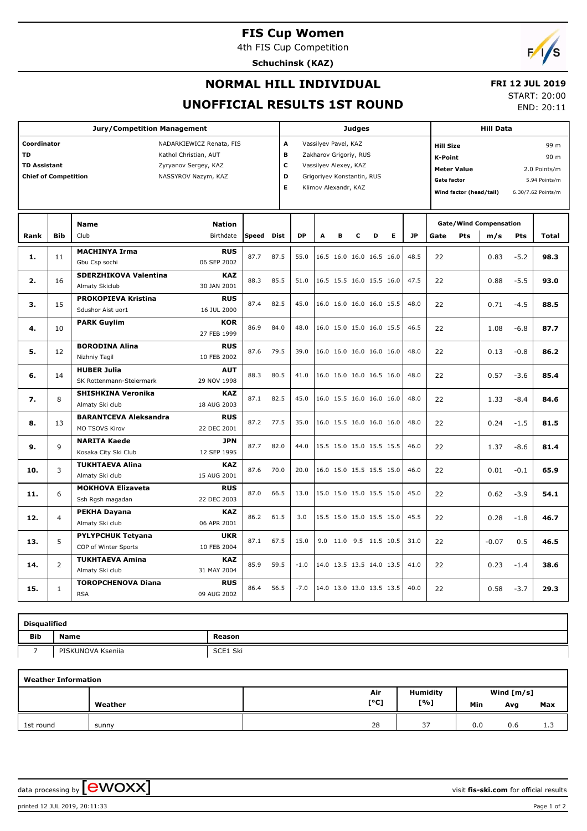# **FIS Cup Women**

4th FIS Cup Competition





# **NORMAL HILL INDIVIDUAL**

#### **FRI 12 JUL 2019** START: 20:00

END: 20:11

# **UNOFFICIAL RESULTS 1ST ROUND**

| <b>Jury/Competition Management</b>                                                                                                                                                 |            |                                                  |                           |       |                                                                                                                                                         |           | <b>Judges</b> |   |   |                          |   |                                                                                                           |      | <b>Hill Data</b> |                                                                     |        |       |  |
|------------------------------------------------------------------------------------------------------------------------------------------------------------------------------------|------------|--------------------------------------------------|---------------------------|-------|---------------------------------------------------------------------------------------------------------------------------------------------------------|-----------|---------------|---|---|--------------------------|---|-----------------------------------------------------------------------------------------------------------|------|------------------|---------------------------------------------------------------------|--------|-------|--|
| Coordinator<br>NADARKIEWICZ Renata, FIS<br><b>TD</b><br>Kathol Christian, AUT<br><b>TD Assistant</b><br>Zyryanov Sergey, KAZ<br><b>Chief of Competition</b><br>NASSYROV Nazym, KAZ |            |                                                  |                           |       | A<br>Vassilyev Pavel, KAZ<br>в<br>Zakharov Grigoriy, RUS<br>c<br>Vassilyev Alexey, KAZ<br>D<br>Grigoriyev Konstantin, RUS<br>E.<br>Klimov Alexandr, KAZ |           |               |   |   |                          |   | <b>Hill Size</b><br><b>K-Point</b><br><b>Meter Value</b><br><b>Gate factor</b><br>Wind factor (head/tail) |      |                  | 99 m<br>90 m<br>2.0 Points/m<br>5.94 Points/m<br>6.30/7.62 Points/m |        |       |  |
|                                                                                                                                                                                    |            | <b>Name</b>                                      | <b>Nation</b>             |       |                                                                                                                                                         |           |               |   |   |                          |   | <b>Gate/Wind Compensation</b>                                                                             |      |                  |                                                                     |        |       |  |
| Rank                                                                                                                                                                               | <b>Bib</b> | Club                                             | Birthdate                 | Speed | Dist                                                                                                                                                    | <b>DP</b> | A             | в | C | D                        | E | <b>JP</b>                                                                                                 | Gate | Pts              | m/s                                                                 | Pts    | Total |  |
| 1.                                                                                                                                                                                 | 11         | <b>MACHINYA Irma</b><br>Gbu Csp sochi            | <b>RUS</b><br>06 SEP 2002 | 87.7  | 87.5                                                                                                                                                    | 55.0      |               |   |   | 16.5 16.0 16.0 16.5 16.0 |   | 48.5                                                                                                      | 22   |                  | 0.83                                                                | $-5.2$ | 98.3  |  |
| 2.                                                                                                                                                                                 | 16         | <b>SDERZHIKOVA Valentina</b><br>Almaty Skiclub   | KAZ<br>30 JAN 2001        | 88.3  | 85.5                                                                                                                                                    | 51.0      |               |   |   | 16.5 15.5 16.0 15.5 16.0 |   | 47.5                                                                                                      | 22   |                  | 0.88                                                                | $-5.5$ | 93.0  |  |
| з.                                                                                                                                                                                 | 15         | <b>PROKOPIEVA Kristina</b><br>Sdushor Aist uor1  | <b>RUS</b><br>16 JUL 2000 | 87.4  | 82.5                                                                                                                                                    | 45.0      |               |   |   | 16.0 16.0 16.0 16.0 15.5 |   | 48.0                                                                                                      | 22   |                  | 0.71                                                                | $-4.5$ | 88.5  |  |
| 4.                                                                                                                                                                                 | 10         | <b>PARK Guylim</b>                               | <b>KOR</b><br>27 FEB 1999 | 86.9  | 84.0                                                                                                                                                    | 48.0      |               |   |   | 16.0 15.0 15.0 16.0 15.5 |   | 46.5                                                                                                      | 22   |                  | 1.08                                                                | $-6.8$ | 87.7  |  |
| 5.                                                                                                                                                                                 | 12         | <b>BORODINA Alina</b><br>Nizhniy Tagil           | <b>RUS</b><br>10 FEB 2002 | 87.6  | 79.5                                                                                                                                                    | 39.0      |               |   |   | 16.0 16.0 16.0 16.0 16.0 |   | 48.0                                                                                                      | 22   |                  | 0.13                                                                | $-0.8$ | 86.2  |  |
| 6.                                                                                                                                                                                 | 14         | <b>HUBER Julia</b><br>SK Rottenmann-Steiermark   | <b>AUT</b><br>29 NOV 1998 | 88.3  | 80.5                                                                                                                                                    | 41.0      |               |   |   | 16.0 16.0 16.0 16.5 16.0 |   | 48.0                                                                                                      | 22   |                  | 0.57                                                                | $-3.6$ | 85.4  |  |
| 7.                                                                                                                                                                                 | 8          | <b>SHISHKINA Veronika</b><br>Almaty Ski club     | <b>KAZ</b><br>18 AUG 2003 | 87.1  | 82.5                                                                                                                                                    | 45.0      |               |   |   | 16.0 15.5 16.0 16.0 16.0 |   | 48.0                                                                                                      | 22   |                  | 1.33                                                                | $-8.4$ | 84.6  |  |
| 8.                                                                                                                                                                                 | 13         | <b>BARANTCEVA Aleksandra</b><br>MO TSOVS Kirov   | <b>RUS</b><br>22 DEC 2001 | 87.2  | 77.5                                                                                                                                                    | 35.0      |               |   |   | 16.0 15.5 16.0 16.0 16.0 |   | 48.0                                                                                                      | 22   |                  | 0.24                                                                | $-1.5$ | 81.5  |  |
| 9.                                                                                                                                                                                 | 9          | <b>NARITA Kaede</b><br>Kosaka City Ski Club      | JPN<br>12 SEP 1995        | 87.7  | 82.0                                                                                                                                                    | 44.0      |               |   |   | 15.5 15.0 15.0 15.5 15.5 |   | 46.0                                                                                                      | 22   |                  | 1.37                                                                | $-8.6$ | 81.4  |  |
| 10.                                                                                                                                                                                | 3          | <b>TUKHTAEVA Alina</b><br>Almaty Ski club        | <b>KAZ</b><br>15 AUG 2001 | 87.6  | 70.0                                                                                                                                                    | 20.0      |               |   |   | 16.0 15.0 15.5 15.5 15.0 |   | 46.0                                                                                                      | 22   |                  | 0.01                                                                | $-0.1$ | 65.9  |  |
| 11.                                                                                                                                                                                | 6          | <b>MOKHOVA Elizaveta</b><br>Ssh Rgsh magadan     | <b>RUS</b><br>22 DEC 2003 | 87.0  | 66.5                                                                                                                                                    | 13.0      |               |   |   | 15.0 15.0 15.0 15.5 15.0 |   | 45.0                                                                                                      | 22   |                  | 0.62                                                                | $-3.9$ | 54.1  |  |
| 12.                                                                                                                                                                                | 4          | <b>PEKHA Dayana</b><br>Almaty Ski club           | <b>KAZ</b><br>06 APR 2001 | 86.2  | 61.5                                                                                                                                                    | 3.0       |               |   |   | 15.5 15.0 15.0 15.5 15.0 |   | 45.5                                                                                                      | 22   |                  | 0.28                                                                | $-1.8$ | 46.7  |  |
| 13.                                                                                                                                                                                | 5          | <b>PYLYPCHUK Tetyana</b><br>COP of Winter Sports | <b>UKR</b><br>10 FEB 2004 | 87.1  | 67.5                                                                                                                                                    | 15.0      |               |   |   | 9.0 11.0 9.5 11.5 10.5   |   | 31.0                                                                                                      | 22   |                  | $-0.07$                                                             | 0.5    | 46.5  |  |
| 14.                                                                                                                                                                                | 2          | <b>TUKHTAEVA Amina</b><br>Almaty Ski club        | <b>KAZ</b><br>31 MAY 2004 | 85.9  | 59.5                                                                                                                                                    | $-1.0$    |               |   |   | 14.0 13.5 13.5 14.0 13.5 |   | 41.0                                                                                                      | 22   |                  | 0.23                                                                | $-1.4$ | 38.6  |  |
| 15.                                                                                                                                                                                | 1          | <b>TOROPCHENOVA Diana</b><br><b>RSA</b>          | <b>RUS</b><br>09 AUG 2002 | 86.4  | 56.5                                                                                                                                                    | $-7.0$    |               |   |   | 14.0 13.0 13.0 13.5 13.5 |   | 40.0                                                                                                      | 22   |                  | 0.58                                                                | $-3.7$ | 29.3  |  |

| <b>Disqualified</b> |                   |          |  |  |  |  |  |  |  |  |
|---------------------|-------------------|----------|--|--|--|--|--|--|--|--|
| <b>Bib</b>          | <b>Name</b>       | Reason   |  |  |  |  |  |  |  |  |
|                     | PISKUNOVA Kseniia | SCE1 Ski |  |  |  |  |  |  |  |  |

| <b>Weather Information</b> |         |      |                 |              |     |     |  |  |  |  |
|----------------------------|---------|------|-----------------|--------------|-----|-----|--|--|--|--|
|                            |         | Air  | <b>Humidity</b> | Wind $[m/s]$ |     |     |  |  |  |  |
|                            | Weather | [°C] | [%]             | Min          | Avg | Max |  |  |  |  |
| 1st round                  | sunny   | 28   | 37              | 0.0          | 0.6 | 1.3 |  |  |  |  |

data processing by **CWOXX**  $\blacksquare$ 

printed 12 JUL 2019, 20:11:33 Page 1 of 2